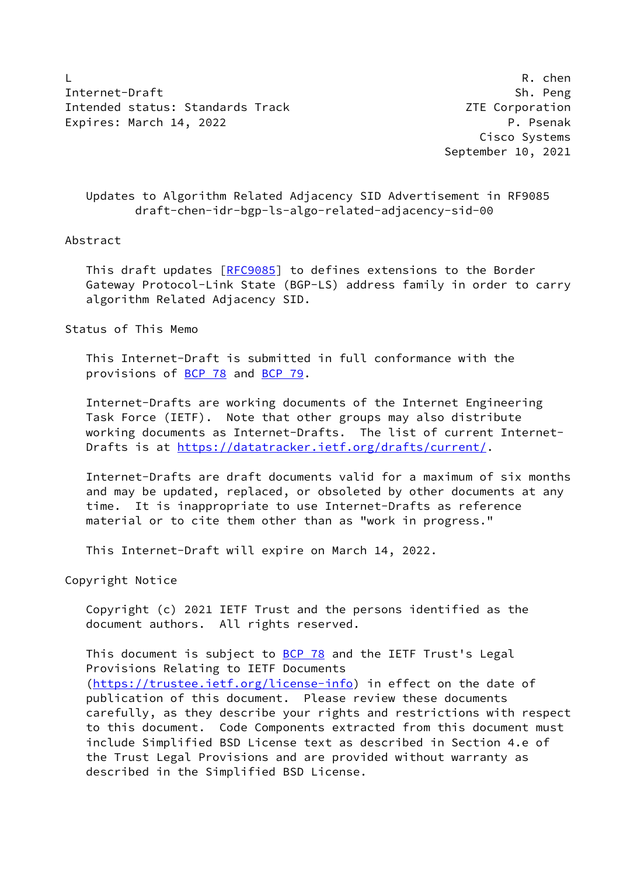L R. chen Internet-Draft Sh. Peng Intended status: Standards Track Corporation 2TE Corporation Expires: March 14, 2022 **P. Participal Expires:** March 14, 2022

 Cisco Systems September 10, 2021

 Updates to Algorithm Related Adjacency SID Advertisement in RF9085 draft-chen-idr-bgp-ls-algo-related-adjacency-sid-00

## Abstract

This draft updates [[RFC9085\]](https://datatracker.ietf.org/doc/pdf/rfc9085) to defines extensions to the Border Gateway Protocol-Link State (BGP-LS) address family in order to carry algorithm Related Adjacency SID.

Status of This Memo

 This Internet-Draft is submitted in full conformance with the provisions of [BCP 78](https://datatracker.ietf.org/doc/pdf/bcp78) and [BCP 79](https://datatracker.ietf.org/doc/pdf/bcp79).

 Internet-Drafts are working documents of the Internet Engineering Task Force (IETF). Note that other groups may also distribute working documents as Internet-Drafts. The list of current Internet- Drafts is at<https://datatracker.ietf.org/drafts/current/>.

 Internet-Drafts are draft documents valid for a maximum of six months and may be updated, replaced, or obsoleted by other documents at any time. It is inappropriate to use Internet-Drafts as reference material or to cite them other than as "work in progress."

This Internet-Draft will expire on March 14, 2022.

Copyright Notice

 Copyright (c) 2021 IETF Trust and the persons identified as the document authors. All rights reserved.

This document is subject to **[BCP 78](https://datatracker.ietf.org/doc/pdf/bcp78)** and the IETF Trust's Legal Provisions Relating to IETF Documents [\(https://trustee.ietf.org/license-info](https://trustee.ietf.org/license-info)) in effect on the date of publication of this document. Please review these documents carefully, as they describe your rights and restrictions with respect to this document. Code Components extracted from this document must include Simplified BSD License text as described in Section 4.e of the Trust Legal Provisions and are provided without warranty as described in the Simplified BSD License.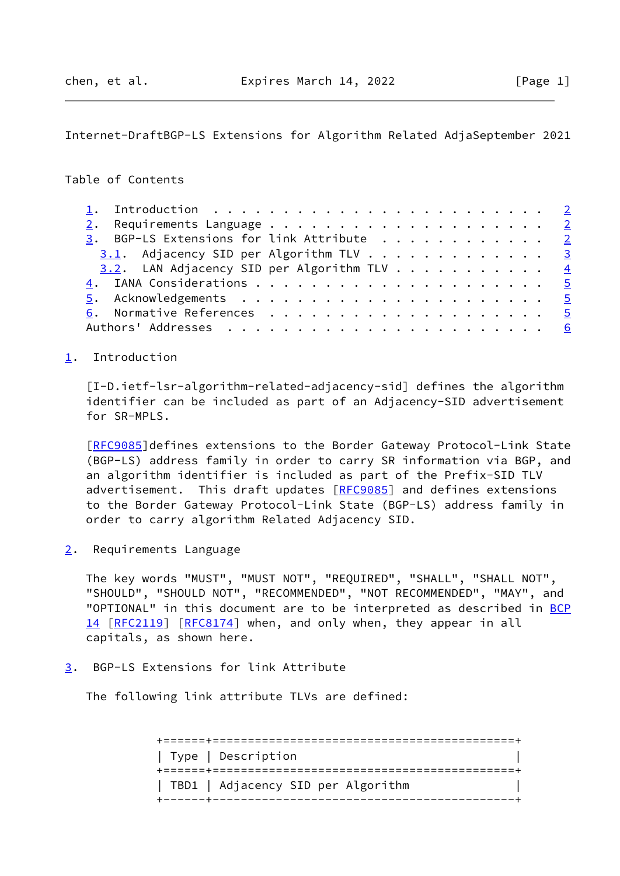<span id="page-1-1"></span>Internet-DraftBGP-LS Extensions for Algorithm Related AdjaSeptember 2021

## Table of Contents

| 3. BGP-LS Extensions for link Attribute 2     |  |
|-----------------------------------------------|--|
| $3.1$ . Adjacency SID per Algorithm TLV 3     |  |
| $3.2$ . LAN Adjacency SID per Algorithm TLV 4 |  |
|                                               |  |
|                                               |  |
|                                               |  |
|                                               |  |

## <span id="page-1-0"></span>[1](#page-1-0). Introduction

<span id="page-1-4"></span> [I-D.ietf-lsr-algorithm-related-adjacency-sid] defines the algorithm identifier can be included as part of an Adjacency-SID advertisement for SR-MPLS.

 [\[RFC9085](https://datatracker.ietf.org/doc/pdf/rfc9085)]defines extensions to the Border Gateway Protocol-Link State (BGP-LS) address family in order to carry SR information via BGP, and an algorithm identifier is included as part of the Prefix-SID TLV advertisement. This draft updates [[RFC9085\]](https://datatracker.ietf.org/doc/pdf/rfc9085) and defines extensions to the Border Gateway Protocol-Link State (BGP-LS) address family in order to carry algorithm Related Adjacency SID.

<span id="page-1-2"></span>[2](#page-1-2). Requirements Language

 The key words "MUST", "MUST NOT", "REQUIRED", "SHALL", "SHALL NOT", "SHOULD", "SHOULD NOT", "RECOMMENDED", "NOT RECOMMENDED", "MAY", and "OPTIONAL" in this document are to be interpreted as described in [BCP](https://datatracker.ietf.org/doc/pdf/bcp14) [14](https://datatracker.ietf.org/doc/pdf/bcp14) [[RFC2119\]](https://datatracker.ietf.org/doc/pdf/rfc2119) [\[RFC8174](https://datatracker.ietf.org/doc/pdf/rfc8174)] when, and only when, they appear in all capitals, as shown here.

<span id="page-1-3"></span>[3](#page-1-3). BGP-LS Extensions for link Attribute

The following link attribute TLVs are defined:

 +======+===========================================+ | Type | Description | +======+===========================================+ | TBD1 | Adjacency SID per Algorithm | +------+-------------------------------------------+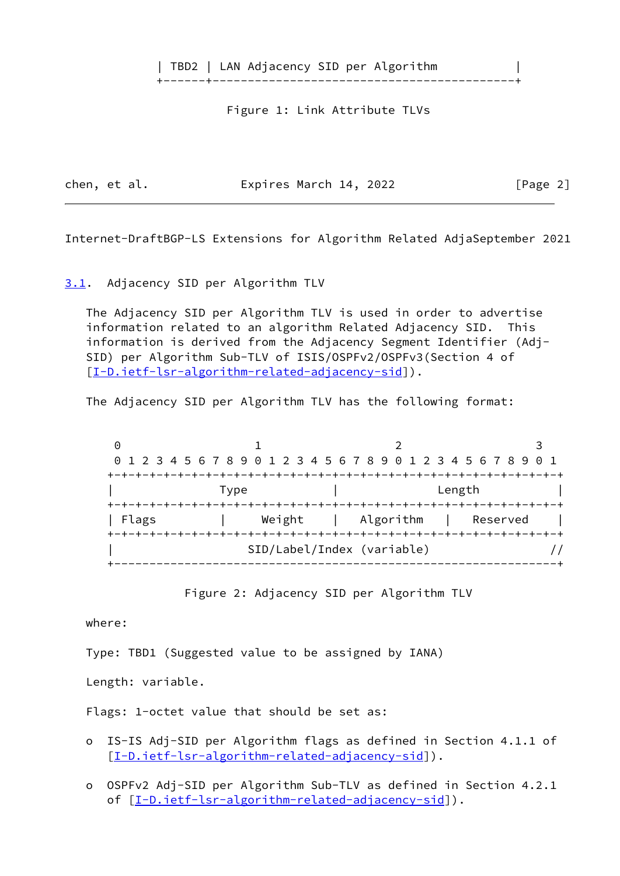| TBD2 | LAN Adjacency SID per Algorithm |

+------+-------------------------------------------+

Figure 1: Link Attribute TLVs

chen, et al. **Expires March 14, 2022** [Page 2]

<span id="page-2-1"></span>Internet-DraftBGP-LS Extensions for Algorithm Related AdjaSeptember 2021

<span id="page-2-0"></span>[3.1](#page-2-0). Adjacency SID per Algorithm TLV

 The Adjacency SID per Algorithm TLV is used in order to advertise information related to an algorithm Related Adjacency SID. This information is derived from the Adjacency Segment Identifier (Adj- SID) per Algorithm Sub-TLV of ISIS/OSPFv2/OSPFv3(Section 4 of [\[I-D.ietf-lsr-algorithm-related-adjacency-sid](#page-1-4)]).

The Adjacency SID per Algorithm TLV has the following format:

0 1 2 3 0 1 2 3 4 5 6 7 8 9 0 1 2 3 4 5 6 7 8 9 0 1 2 3 4 5 6 7 8 9 0 1 +-+-+-+-+-+-+-+-+-+-+-+-+-+-+-+-+-+-+-+-+-+-+-+-+-+-+-+-+-+-+-+-+ Type  $|$  Length  $|$  +-+-+-+-+-+-+-+-+-+-+-+-+-+-+-+-+-+-+-+-+-+-+-+-+-+-+-+-+-+-+-+-+ | Flags | Weight | Algorithm | Reserved | +-+-+-+-+-+-+-+-+-+-+-+-+-+-+-+-+-+-+-+-+-+-+-+-+-+-+-+-+-+-+-+-+ | SID/Label/Index (variable) // +---------------------------------------------------------------+

Figure 2: Adjacency SID per Algorithm TLV

where:

Type: TBD1 (Suggested value to be assigned by IANA)

Length: variable.

Flags: 1-octet value that should be set as:

- o IS-IS Adj-SID per Algorithm flags as defined in Section 4.1.1 of [[I-D.ietf-lsr-algorithm-related-adjacency-sid\]](#page-1-4)).
- o OSPFv2 Adj-SID per Algorithm Sub-TLV as defined in Section 4.2.1 of  $[\underline{I-D.ietf-lsr-algorithm-related-adiacency-sid}]$ ).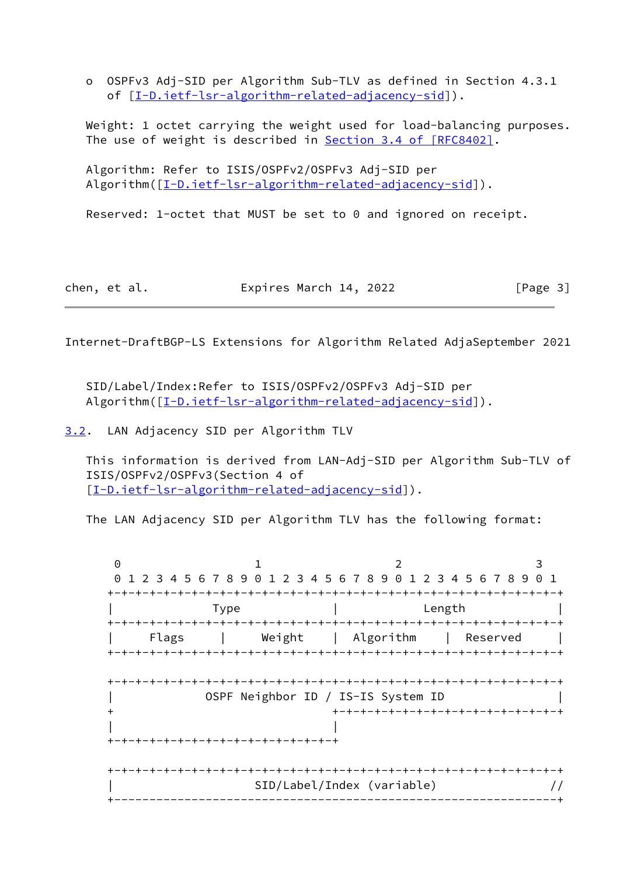o OSPFv3 Adj-SID per Algorithm Sub-TLV as defined in Section 4.3.1 of [[I-D.ietf-lsr-algorithm-related-adjacency-sid\]](#page-1-4)).

 Weight: 1 octet carrying the weight used for load-balancing purposes. The use of weight is described in **Section [3.4 of \[RFC8402\]](https://datatracker.ietf.org/doc/pdf/rfc8402#section-3.4)**.

 Algorithm: Refer to ISIS/OSPFv2/OSPFv3 Adj-SID per Algorithm( $[I-D.iett-lsr-algorithms-related-adjacency-sid]$ ).

Reserved: 1-octet that MUST be set to 0 and ignored on receipt.

| chen, et al. | Expires March 14, 2022 | [Page 3] |
|--------------|------------------------|----------|
|--------------|------------------------|----------|

<span id="page-3-1"></span>Internet-DraftBGP-LS Extensions for Algorithm Related AdjaSeptember 2021

 SID/Label/Index:Refer to ISIS/OSPFv2/OSPFv3 Adj-SID per Algorithm( $[I-D.iett-lsr-algorithms-related-adiacency-sid]$ ).

<span id="page-3-0"></span>[3.2](#page-3-0). LAN Adjacency SID per Algorithm TLV

 This information is derived from LAN-Adj-SID per Algorithm Sub-TLV of ISIS/OSPFv2/OSPFv3(Section 4 of [\[I-D.ietf-lsr-algorithm-related-adjacency-sid](#page-1-4)]).

The LAN Adjacency SID per Algorithm TLV has the following format:

0 1 2 3 0 1 2 3 4 5 6 7 8 9 0 1 2 3 4 5 6 7 8 9 0 1 2 3 4 5 6 7 8 9 0 1 +-+-+-+-+-+-+-+-+-+-+-+-+-+-+-+-+-+-+-+-+-+-+-+-+-+-+-+-+-+-+-+-+ | Type | Length | +-+-+-+-+-+-+-+-+-+-+-+-+-+-+-+-+-+-+-+-+-+-+-+-+-+-+-+-+-+-+-+-+ | Weight | Algorithm | Reserved | +-+-+-+-+-+-+-+-+-+-+-+-+-+-+-+-+-+-+-+-+-+-+-+-+-+-+-+-+-+-+-+-+ +-+-+-+-+-+-+-+-+-+-+-+-+-+-+-+-+-+-+-+-+-+-+-+-+-+-+-+-+-+-+-+-+ | OSPF Neighbor ID / IS-IS System ID | + +-+-+-+-+-+-+-+-+-+-+-+-+-+-+-+-+ | | +-+-+-+-+-+-+-+-+-+-+-+-+-+-+-+-+ +-+-+-+-+-+-+-+-+-+-+-+-+-+-+-+-+-+-+-+-+-+-+-+-+-+-+-+-+-+-+-+-+ | SID/Label/Index (variable) // +---------------------------------------------------------------+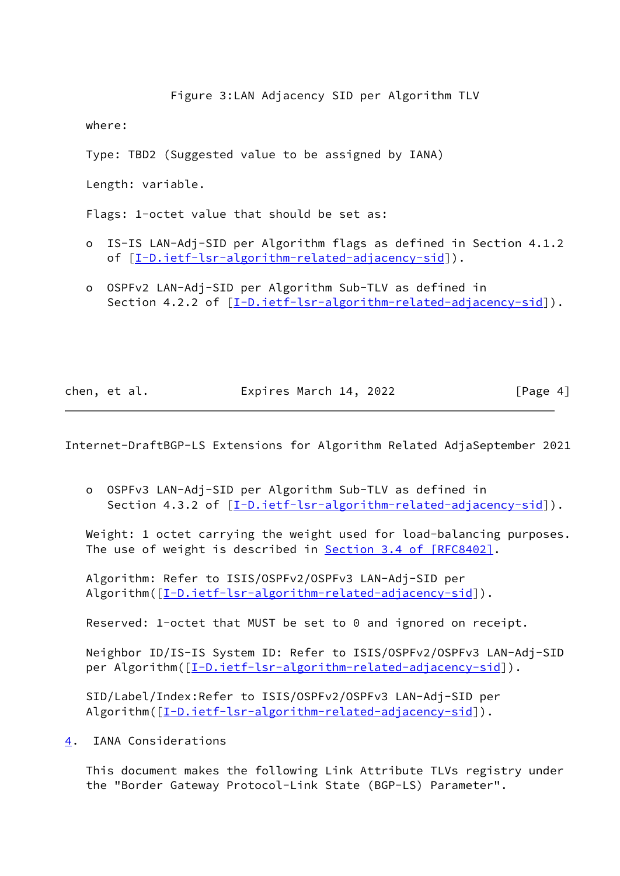Figure 3:LAN Adjacency SID per Algorithm TLV

where:

Type: TBD2 (Suggested value to be assigned by IANA)

Length: variable.

Flags: 1-octet value that should be set as:

- o IS-IS LAN-Adj-SID per Algorithm flags as defined in Section 4.1.2 of [[I-D.ietf-lsr-algorithm-related-adjacency-sid\]](#page-1-4)).
- o OSPFv2 LAN-Adj-SID per Algorithm Sub-TLV as defined in Section 4.2.2 of  $[I-D.iett-lsr-algorithms-related-adiacency-sid]$ .

| Expires March 14, 2022<br>chen, et al. | [Page 4] |
|----------------------------------------|----------|
|----------------------------------------|----------|

<span id="page-4-1"></span>Internet-DraftBGP-LS Extensions for Algorithm Related AdjaSeptember 2021

 o OSPFv3 LAN-Adj-SID per Algorithm Sub-TLV as defined in Section 4.3.2 of [\[I-D.ietf-lsr-algorithm-related-adjacency-sid](#page-1-4)]).

 Weight: 1 octet carrying the weight used for load-balancing purposes. The use of weight is described in Section [3.4 of \[RFC8402\]](https://datatracker.ietf.org/doc/pdf/rfc8402#section-3.4).

 Algorithm: Refer to ISIS/OSPFv2/OSPFv3 LAN-Adj-SID per Algorithm( $[I-D.iett-lsr-algorithms-related-adjacency-sid]$ ).

Reserved: 1-octet that MUST be set to 0 and ignored on receipt.

 Neighbor ID/IS-IS System ID: Refer to ISIS/OSPFv2/OSPFv3 LAN-Adj-SID per Algorithm([[I-D.ietf-lsr-algorithm-related-adjacency-sid\]](#page-1-4)).

 SID/Label/Index:Refer to ISIS/OSPFv2/OSPFv3 LAN-Adj-SID per Algorithm( $[I-D.iett-lsr-algorithms-related-adjacency-sid]$ ).

<span id="page-4-0"></span>[4](#page-4-0). IANA Considerations

 This document makes the following Link Attribute TLVs registry under the "Border Gateway Protocol-Link State (BGP-LS) Parameter".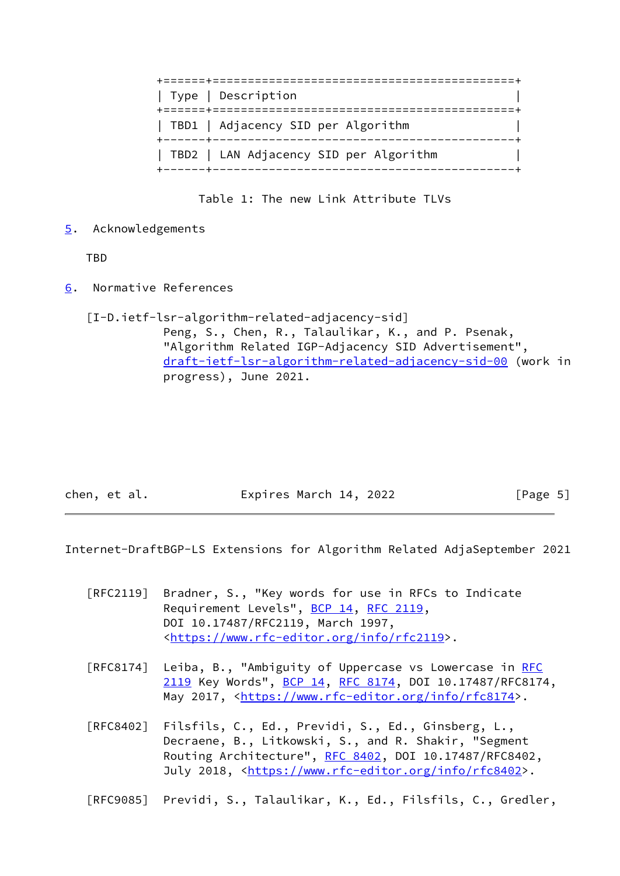| Type   Description                                                           |
|------------------------------------------------------------------------------|
| TBD1   Adjacency SID per Algorithm<br>+------+------------------------------ |
| TBD2   LAN Adjacency SID per Algorithm                                       |

Table 1: The new Link Attribute TLVs

<span id="page-5-0"></span>[5](#page-5-0). Acknowledgements

TBD

<span id="page-5-1"></span>[6](#page-5-1). Normative References

 [I-D.ietf-lsr-algorithm-related-adjacency-sid] Peng, S., Chen, R., Talaulikar, K., and P. Psenak, "Algorithm Related IGP-Adjacency SID Advertisement", [draft-ietf-lsr-algorithm-related-adjacency-sid-00](https://datatracker.ietf.org/doc/pdf/draft-ietf-lsr-algorithm-related-adjacency-sid-00) (work in progress), June 2021.

chen, et al. **Expires March 14, 2022** [Page 5]

<span id="page-5-2"></span>Internet-DraftBGP-LS Extensions for Algorithm Related AdjaSeptember 2021

- [RFC2119] Bradner, S., "Key words for use in RFCs to Indicate Requirement Levels", [BCP 14](https://datatracker.ietf.org/doc/pdf/bcp14), [RFC 2119](https://datatracker.ietf.org/doc/pdf/rfc2119), DOI 10.17487/RFC2119, March 1997, <[https://www.rfc-editor.org/info/rfc2119>](https://www.rfc-editor.org/info/rfc2119).
- [RFC8174] Leiba, B., "Ambiguity of Uppercase vs Lowercase in [RFC](https://datatracker.ietf.org/doc/pdf/rfc2119) [2119](https://datatracker.ietf.org/doc/pdf/rfc2119) Key Words", [BCP 14](https://datatracker.ietf.org/doc/pdf/bcp14), [RFC 8174,](https://datatracker.ietf.org/doc/pdf/rfc8174) DOI 10.17487/RFC8174, May 2017, [<https://www.rfc-editor.org/info/rfc8174](https://www.rfc-editor.org/info/rfc8174)>.
- [RFC8402] Filsfils, C., Ed., Previdi, S., Ed., Ginsberg, L., Decraene, B., Litkowski, S., and R. Shakir, "Segment Routing Architecture", [RFC 8402](https://datatracker.ietf.org/doc/pdf/rfc8402), DOI 10.17487/RFC8402, July 2018, <<https://www.rfc-editor.org/info/rfc8402>>.

[RFC9085] Previdi, S., Talaulikar, K., Ed., Filsfils, C., Gredler,